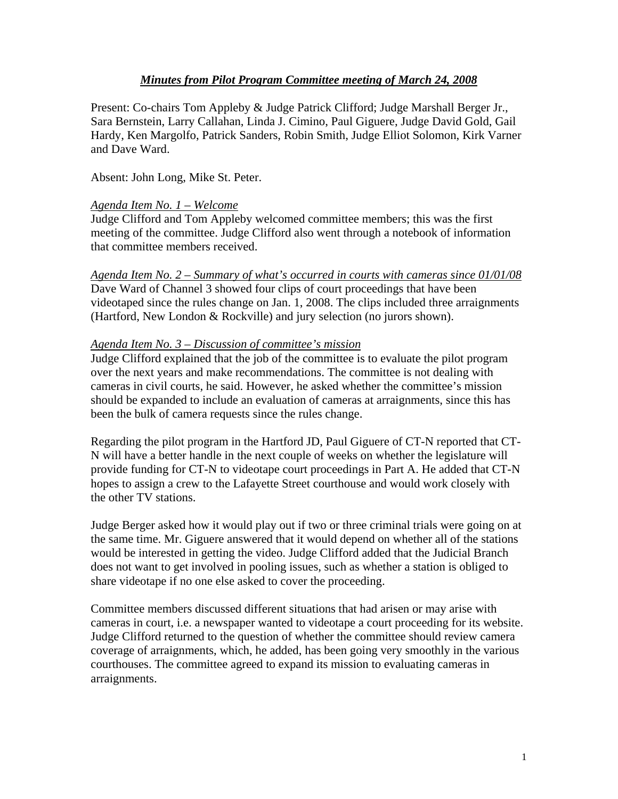# *Minutes from Pilot Program Committee meeting of March 24, 2008*

Present: Co-chairs Tom Appleby & Judge Patrick Clifford; Judge Marshall Berger Jr., Sara Bernstein, Larry Callahan, Linda J. Cimino, Paul Giguere, Judge David Gold, Gail Hardy, Ken Margolfo, Patrick Sanders, Robin Smith, Judge Elliot Solomon, Kirk Varner and Dave Ward.

Absent: John Long, Mike St. Peter.

### *Agenda Item No. 1 – Welcome*

Judge Clifford and Tom Appleby welcomed committee members; this was the first meeting of the committee. Judge Clifford also went through a notebook of information that committee members received.

#### *Agenda Item No. 2 – Summary of what's occurred in courts with cameras since 01/01/08*

Dave Ward of Channel 3 showed four clips of court proceedings that have been videotaped since the rules change on Jan. 1, 2008. The clips included three arraignments (Hartford, New London & Rockville) and jury selection (no jurors shown).

### *Agenda Item No. 3 – Discussion of committee's mission*

Judge Clifford explained that the job of the committee is to evaluate the pilot program over the next years and make recommendations. The committee is not dealing with cameras in civil courts, he said. However, he asked whether the committee's mission should be expanded to include an evaluation of cameras at arraignments, since this has been the bulk of camera requests since the rules change.

Regarding the pilot program in the Hartford JD, Paul Giguere of CT-N reported that CT-N will have a better handle in the next couple of weeks on whether the legislature will provide funding for CT-N to videotape court proceedings in Part A. He added that CT-N hopes to assign a crew to the Lafayette Street courthouse and would work closely with the other TV stations.

Judge Berger asked how it would play out if two or three criminal trials were going on at the same time. Mr. Giguere answered that it would depend on whether all of the stations would be interested in getting the video. Judge Clifford added that the Judicial Branch does not want to get involved in pooling issues, such as whether a station is obliged to share videotape if no one else asked to cover the proceeding.

Committee members discussed different situations that had arisen or may arise with cameras in court, i.e. a newspaper wanted to videotape a court proceeding for its website. Judge Clifford returned to the question of whether the committee should review camera coverage of arraignments, which, he added, has been going very smoothly in the various courthouses. The committee agreed to expand its mission to evaluating cameras in arraignments.